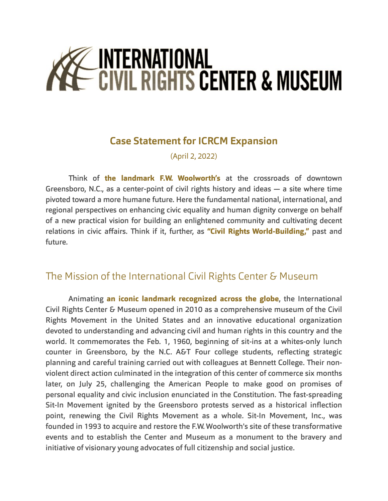# Z INTERNATIONAL<br>- Civil Rights Center & Museum

## **Case Statement for ICRCM Expansion**

(April 2, 2022)

!ink of **the landmark F.W. Woolworth's** at the crossroads of downtown Greensboro, N.C., as a center-point of civil rights history and ideas — a site where time pivoted toward a more humane future. Here the fundamental national, international, and regional perspectives on enhancing civic equality and human dignity converge on behalf of a new practical vision for building an enlightened community and cultivating decent relations in civic affairs. Think if it, further, as "Civil Rights World-Building," past and future.

## The Mission of the International Civil Rights Center & Museum

Animating **an iconic landmark recognized across the globe**, the International Civil Rights Center & Museum opened in 2010 as a comprehensive museum of the Civil Rights Movement in the United States and an innovative educational organization devoted to understanding and advancing civil and human rights in this country and the world. It commemorates the Feb. 1, 1960, beginning of sit-ins at a whites-only lunch counter in Greensboro, by the N.C. A&T Four college students, reflecting strategic planning and careful training carried out with colleagues at Bennett College. Their nonviolent direct action culminated in the integration of this center of commerce six months later, on July 25, challenging the American People to make good on promises of personal equality and civic inclusion enunciated in the Constitution. The fast-spreading Sit-In Movement ignited by the Greensboro protests served as a historical inflection point, renewing the Civil Rights Movement as a whole. Sit-In Movement, Inc., was founded in 1993 to acquire and restore the F.W. Woolworth's site of these transformative events and to establish the Center and Museum as a monument to the bravery and initiative of visionary young advocates of full citizenship and social justice.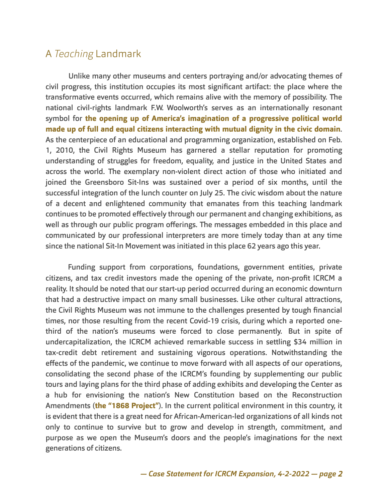### A *Teaching* Landmark

Unlike many other museums and centers portraying and/or advocating themes of civil progress, this institution occupies its most significant artifact: the place where the transformative events occurred, which remains alive with the memory of possibility. The national civil-rights landmark F.W. Woolworth's serves as an internationally resonant symbol for **the opening up of America's imagination of a progressive political world made up of full and equal citizens interacting with mutual dignity in the civic domain**. As the centerpiece of an educational and programming organization, established on Feb. 1, 2010, the Civil Rights Museum has garnered a stellar reputation for promoting understanding of struggles for freedom, equality, and justice in the United States and across the world. The exemplary non-violent direct action of those who initiated and joined the Greensboro Sit-Ins was sustained over a period of six months, until the successful integration of the lunch counter on July 25. The civic wisdom about the nature of a decent and enlightened community that emanates from this teaching landmark continues to be promoted effectively through our permanent and changing exhibitions, as well as through our public program offerings. The messages embedded in this place and communicated by our professional interpreters are more timely today than at any time since the national Sit-In Movement was initiated in this place 62 years ago this year.

 Funding support from corporations, foundations, government entities, private citizens, and tax credit investors made the opening of the private, non-profit ICRCM a reality. It should be noted that our start-up period occurred during an economic downturn that had a destructive impact on many small businesses. Like other cultural attractions, the Civil Rights Museum was not immune to the challenges presented by tough financial times, nor those resulting from the recent Covid-19 crisis, during which a reported onethird of the nation's museums were forced to close permanently. But in spite of undercapitalization, the ICRCM achieved remarkable success in settling \$34 million in tax-credit debt retirement and sustaining vigorous operations. Notwithstanding the effects of the pandemic, we continue to move forward with all aspects of our operations, consolidating the second phase of the ICRCM's founding by supplementing our public tours and laying plans for the third phase of adding exhibits and developing the Center as a hub for envisioning the nation's New Constitution based on the Reconstruction Amendments (**the "1868 Project"**). In the current political environment in this country, it is evident that there is a great need for African-American-led organizations of all kinds not only to continue to survive but to grow and develop in strength, commitment, and purpose as we open the Museum's doors and the people's imaginations for the next generations of citizens.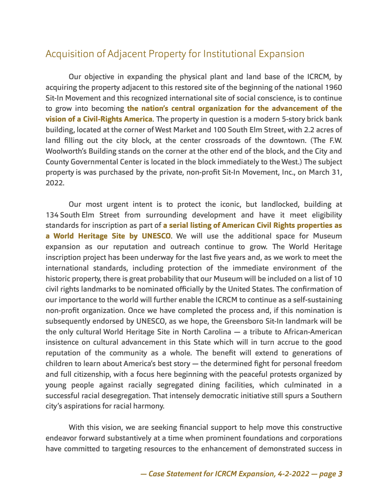# Acquisition of Adjacent Property for Institutional Expansion

Our objective in expanding the physical plant and land base of the ICRCM, by acquiring the property adjacent to this restored site of the beginning of the national 1960 Sit-In Movement and this recognized international site of social conscience, is to continue to grow into becoming **the nation's central organization for the advancement of the vision of a Civil-Rights America**. The property in question is a modern 5-story brick bank building, located at the corner of West Market and 100 South Elm Street, with 2.2 acres of land filling out the city block, at the center crossroads of the downtown. (The F.W. Woolworth's Building stands on the corner at the other end of the block, and the City and County Governmental Center is located in the block immediately to the West.) The subject property is was purchased by the private, non-profit Sit-In Movement, Inc., on March 31, 2022.

Our most urgent intent is to protect the iconic, but landlocked, building at 134 South Elm Street from surrounding development and have it meet eligibility standards for inscription as part of **a serial listing of American Civil Rights properties as a World Heritage Site by UNESCO**. We will use the additional space for Museum expansion as our reputation and outreach continue to grow. The World Heritage inscription project has been underway for the last five years and, as we work to meet the international standards, including protection of the immediate environment of the historic property, there is great probability that our Museum will be included on a list of 10 civil rights landmarks to be nominated officially by the United States. The confirmation of our importance to the world will further enable the ICRCM to continue as a self-sustaining non-profit organization. Once we have completed the process and, if this nomination is subsequently endorsed by UNESCO, as we hope, the Greensboro Sit-In landmark will be the only cultural World Heritage Site in North Carolina — a tribute to African-American insistence on cultural advancement in this State which will in turn accrue to the good reputation of the community as a whole. The benefit will extend to generations of children to learn about America's best story — the determined fight for personal freedom and full citizenship, with a focus here beginning with the peaceful protests organized by young people against racially segregated dining facilities, which culminated in a successful racial desegregation. That intensely democratic initiative still spurs a Southern city's aspirations for racial harmony.

With this vision, we are seeking financial support to help move this constructive endeavor forward substantively at a time when prominent foundations and corporations have committed to targeting resources to the enhancement of demonstrated success in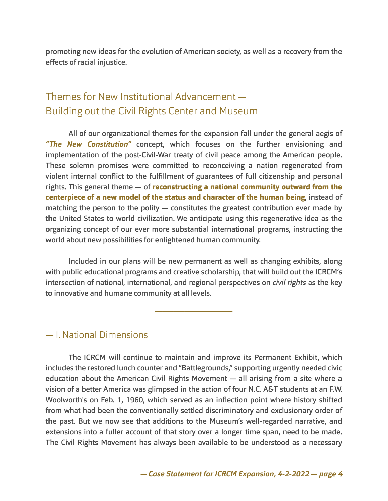promoting new ideas for the evolution of American society, as well as a recovery from the effects of racial injustice.

# Themes for New Institutional Advancement  $-$ Building out the Civil Rights Center and Museum

All of our organizational themes for the expansion fall under the general aegis of *"***!***e New Constitution"* concept, which focuses on the further envisioning and implementation of the post-Civil-War treaty of civil peace among the American people. These solemn promises were committed to reconceiving a nation regenerated from violent internal conflict to the fulfillment of guarantees of full citizenship and personal rights. This general theme  $-$  of **reconstructing a national community outward from the centerpiece of a new model of the status and character of the human being**, instead of matching the person to the polity — constitutes the greatest contribution ever made by the United States to world civilization. We anticipate using this regenerative idea as the organizing concept of our ever more substantial international programs, instructing the world about new possibilities for enlightened human community.

Included in our plans will be new permanent as well as changing exhibits, along with public educational programs and creative scholarship, that will build out the ICRCM's intersection of national, international, and regional perspectives on *civil rights* as the key to innovative and humane community at all levels.

\_\_\_\_\_\_\_\_\_\_\_\_\_\_\_\_\_\_\_\_\_

#### — I. National Dimensions

The ICRCM will continue to maintain and improve its Permanent Exhibit, which includes the restored lunch counter and "Battlegrounds," supporting urgently needed civic education about the American Civil Rights Movement — all arising from a site where a vision of a better America was glimpsed in the action of four N.C. A&T students at an F.W. Woolworth's on Feb. 1, 1960, which served as an inflection point where history shifted from what had been the conventionally settled discriminatory and exclusionary order of the past. But we now see that additions to the Museum's well-regarded narrative, and extensions into a fuller account of that story over a longer time span, need to be made. The Civil Rights Movement has always been available to be understood as a necessary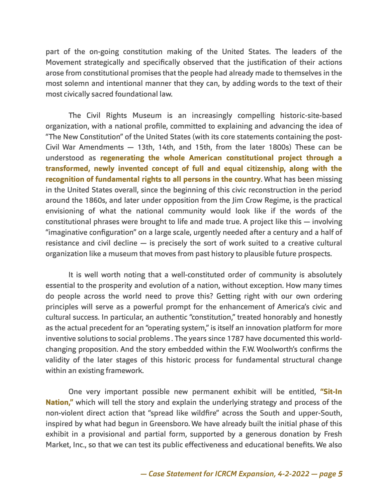part of the on-going constitution making of the United States. The leaders of the Movement strategically and specifically observed that the justification of their actions arose from constitutional promises that the people had already made to themselves in the most solemn and intentional manner that they can, by adding words to the text of their most civically sacred foundational law.

The Civil Rights Museum is an increasingly compelling historic-site-based organization, with a national profile, committed to explaining and advancing the idea of "The New Constitution" of the United States (with its core statements containing the post-Civil War Amendments  $-$  13th, 14th, and 15th, from the later 1800s) These can be understood as **regenerating the whole American constitutional project through a transformed, newly invented concept of full and equal citizenship, along with the recognition of fundamental rights to all persons in the country**. What has been missing in the United States overall, since the beginning of this civic reconstruction in the period around the 1860s, and later under opposition from the Jim Crow Regime, is the practical envisioning of what the national community would look like if the words of the constitutional phrases were brought to life and made true. A project like this — involving "imaginative configuration" on a large scale, urgently needed after a century and a half of resistance and civil decline — is precisely the sort of work suited to a creative cultural organization like a museum that moves from past history to plausible future prospects.

It is well worth noting that a well-constituted order of community is absolutely essential to the prosperity and evolution of a nation, without exception. How many times do people across the world need to prove this? Getting right with our own ordering principles will serve as a powerful prompt for the enhancement of America's civic and cultural success. In particular, an authentic "constitution," treated honorably and honestly as the actual precedent for an "operating system," is itself an innovation platform for more inventive solutions to social problems. The years since 1787 have documented this worldchanging proposition. And the story embedded within the F.W. Woolworth's confirms the validity of the later stages of this historic process for fundamental structural change within an existing framework.

One very important possible new permanent exhibit will be entitled, **"Sit-In Nation,"** which will tell the story and explain the underlying strategy and process of the non-violent direct action that "spread like wildfire" across the South and upper-South, inspired by what had begun in Greensboro. We have already built the initial phase of this exhibit in a provisional and partial form, supported by a generous donation by Fresh Market, Inc., so that we can test its public effectiveness and educational benefits. We also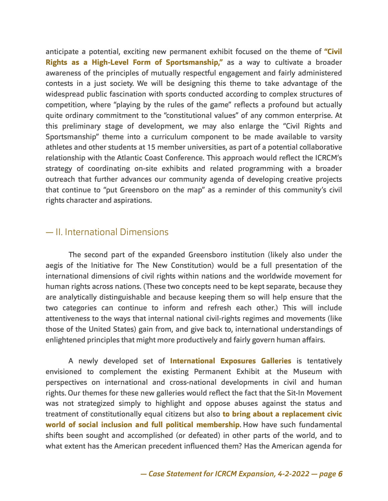anticipate a potential, exciting new permanent exhibit focused on the theme of **"Civil Rights as a High-Level Form of Sportsmanship,"** as a way to cultivate a broader awareness of the principles of mutually respectful engagement and fairly administered contests in a just society. We will be designing this theme to take advantage of the widespread public fascination with sports conducted according to complex structures of competition, where "playing by the rules of the game" reflects a profound but actually quite ordinary commitment to the "constitutional values" of any common enterprise. At this preliminary stage of development, we may also enlarge the "Civil Rights and Sportsmanship" theme into a curriculum component to be made available to varsity athletes and other students at 15 member universities, as part of a potential collaborative relationship with the Atlantic Coast Conference. This approach would reflect the ICRCM's strategy of coordinating on-site exhibits and related programming with a broader outreach that further advances our community agenda of developing creative projects that continue to "put Greensboro on the map" as a reminder of this community's civil rights character and aspirations.

#### — II. International Dimensions

The second part of the expanded Greensboro institution (likely also under the aegis of the Initiative for The New Constitution) would be a full presentation of the international dimensions of civil rights within nations and the worldwide movement for human rights across nations. (These two concepts need to be kept separate, because they are analytically distinguishable and because keeping them so will help ensure that the two categories can continue to inform and refresh each other.) This will include attentiveness to the ways that internal national civil-rights regimes and movements (like those of the United States) gain from, and give back to, international understandings of enlightened principles that might more productively and fairly govern human affairs.

A newly developed set of **International Exposures Galleries** is tentatively envisioned to complement the existing Permanent Exhibit at the Museum with perspectives on international and cross-national developments in civil and human rights. Our themes for these new galleries would reflect the fact that the Sit-In Movement was not strategized simply to highlight and oppose abuses against the status and treatment of constitutionally equal citizens but also **to bring about a replacement civic world of social inclusion and full political membership**. How have such fundamental shifts been sought and accomplished (or defeated) in other parts of the world, and to what extent has the American precedent influenced them? Has the American agenda for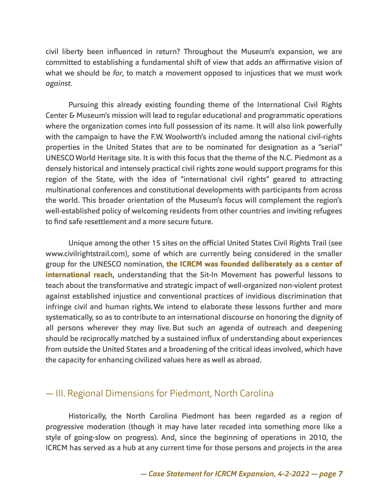civil liberty been influenced in return? Throughout the Museum's expansion, we are committed to establishing a fundamental shift of view that adds an affirmative vision of what we should be *for*, to match a movement opposed to injustices that we must work *against*.

Pursuing this already existing founding theme of the International Civil Rights Center & Museum's mission will lead to regular educational and programmatic operations where the organization comes into full possession of its name. It will also link powerfully with the campaign to have the F.W. Woolworth's included among the national civil-rights properties in the United States that are to be nominated for designation as a "serial" UNESCO World Heritage site. It is with this focus that the theme of the N.C. Piedmont as a densely historical and intensely practical civil rights zone would support programs for this region of the State, with the idea of "international civil rights" geared to attracting multinational conferences and constitutional developments with participants from across the world. This broader orientation of the Museum's focus will complement the region's well-established policy of welcoming residents from other countries and inviting refugees to find safe resettlement and a more secure future.

Unique among the other 15 sites on the official United States Civil Rights Trail (see www.civilrightstrail.com), some of which are currently being considered in the smaller group for the UNESCO nomination, **the ICRCM was founded deliberately as a center of international reach,** understanding that the Sit-In Movement has powerful lessons to teach about the transformative and strategic impact of well-organized non-violent protest against established injustice and conventional practices of invidious discrimination that infringe civil and human rights. We intend to elaborate these lessons further and more systematically, so as to contribute to an international discourse on honoring the dignity of all persons wherever they may live. But such an agenda of outreach and deepening should be reciprocally matched by a sustained influx of understanding about experiences from outside the United States and a broadening of the critical ideas involved, which have the capacity for enhancing civilized values here as well as abroad.

#### — III. Regional Dimensions for Piedmont, North Carolina

Historically, the North Carolina Piedmont has been regarded as a region of progressive moderation (though it may have later receded into something more like a style of going-slow on progress). And, since the beginning of operations in 2010, the ICRCM has served as a hub at any current time for those persons and projects in the area